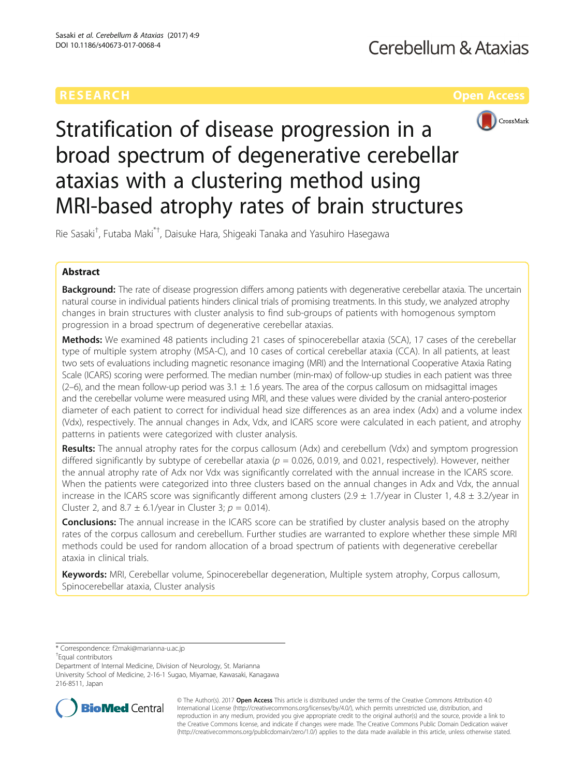# RESEARCH **RESEARCH CONSUMING THE CONSUMING THE CONSUMING TENS**



# Stratification of disease progression in a broad spectrum of degenerative cerebellar ataxias with a clustering method using MRI-based atrophy rates of brain structures

Rie Sasaki<sup>†</sup>, Futaba Maki<sup>\*†</sup>, Daisuke Hara, Shigeaki Tanaka and Yasuhiro Hasegawa

# Abstract

Background: The rate of disease progression differs among patients with degenerative cerebellar ataxia. The uncertain natural course in individual patients hinders clinical trials of promising treatments. In this study, we analyzed atrophy changes in brain structures with cluster analysis to find sub-groups of patients with homogenous symptom progression in a broad spectrum of degenerative cerebellar ataxias.

Methods: We examined 48 patients including 21 cases of spinocerebellar ataxia (SCA), 17 cases of the cerebellar type of multiple system atrophy (MSA-C), and 10 cases of cortical cerebellar ataxia (CCA). In all patients, at least two sets of evaluations including magnetic resonance imaging (MRI) and the International Cooperative Ataxia Rating Scale (ICARS) scoring were performed. The median number (min-max) of follow-up studies in each patient was three  $(2-6)$ , and the mean follow-up period was  $3.1 \pm 1.6$  years. The area of the corpus callosum on midsagittal images and the cerebellar volume were measured using MRI, and these values were divided by the cranial antero-posterior diameter of each patient to correct for individual head size differences as an area index (Adx) and a volume index (Vdx), respectively. The annual changes in Adx, Vdx, and ICARS score were calculated in each patient, and atrophy patterns in patients were categorized with cluster analysis.

Results: The annual atrophy rates for the corpus callosum (Adx) and cerebellum (Vdx) and symptom progression differed significantly by subtype of cerebellar ataxia ( $p = 0.026$ , 0.019, and 0.021, respectively). However, neither the annual atrophy rate of Adx nor Vdx was significantly correlated with the annual increase in the ICARS score. When the patients were categorized into three clusters based on the annual changes in Adx and Vdx, the annual increase in the ICARS score was significantly different among clusters (2.9  $\pm$  1.7/year in Cluster 1, 4.8  $\pm$  3.2/year in Cluster 2, and 8.7  $\pm$  6.1/year in Cluster 3;  $p = 0.014$ ).

**Conclusions:** The annual increase in the ICARS score can be stratified by cluster analysis based on the atrophy rates of the corpus callosum and cerebellum. Further studies are warranted to explore whether these simple MRI methods could be used for random allocation of a broad spectrum of patients with degenerative cerebellar ataxia in clinical trials.

Keywords: MRI, Cerebellar volume, Spinocerebellar degeneration, Multiple system atrophy, Corpus callosum, Spinocerebellar ataxia, Cluster analysis

\* Correspondence: [f2maki@marianna-u.ac.jp](mailto:f2maki@marianna-u.ac.jp) †

Equal contributors

Department of Internal Medicine, Division of Neurology, St. Marianna University School of Medicine, 2-16-1 Sugao, Miyamae, Kawasaki, Kanagawa 216-8511, Japan



© The Author(s). 2017 **Open Access** This article is distributed under the terms of the Creative Commons Attribution 4.0 International License [\(http://creativecommons.org/licenses/by/4.0/](http://creativecommons.org/licenses/by/4.0/)), which permits unrestricted use, distribution, and reproduction in any medium, provided you give appropriate credit to the original author(s) and the source, provide a link to the Creative Commons license, and indicate if changes were made. The Creative Commons Public Domain Dedication waiver [\(http://creativecommons.org/publicdomain/zero/1.0/](http://creativecommons.org/publicdomain/zero/1.0/)) applies to the data made available in this article, unless otherwise stated.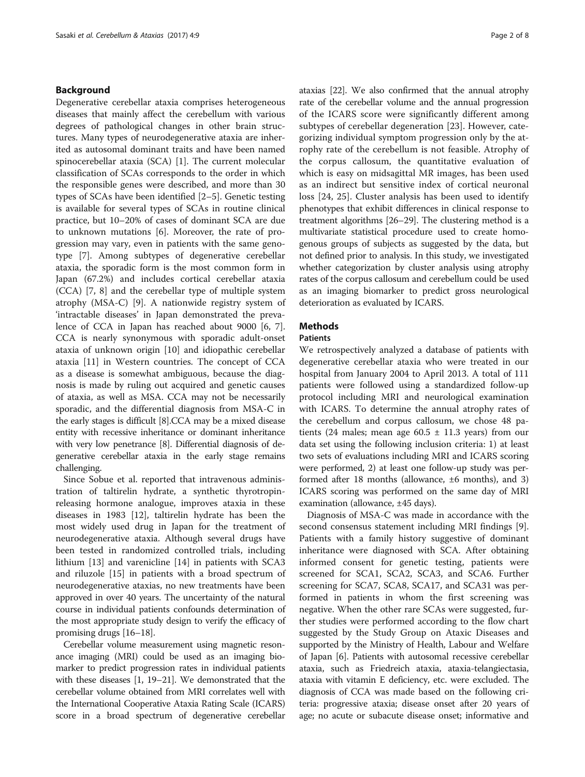## Background

Degenerative cerebellar ataxia comprises heterogeneous diseases that mainly affect the cerebellum with various degrees of pathological changes in other brain structures. Many types of neurodegenerative ataxia are inherited as autosomal dominant traits and have been named spinocerebellar ataxia (SCA) [[1\]](#page-6-0). The current molecular classification of SCAs corresponds to the order in which the responsible genes were described, and more than 30 types of SCAs have been identified [[2](#page-6-0)–[5\]](#page-6-0). Genetic testing is available for several types of SCAs in routine clinical practice, but 10–20% of cases of dominant SCA are due to unknown mutations [[6\]](#page-6-0). Moreover, the rate of progression may vary, even in patients with the same genotype [[7](#page-6-0)]. Among subtypes of degenerative cerebellar ataxia, the sporadic form is the most common form in Japan (67.2%) and includes cortical cerebellar ataxia (CCA) [\[7](#page-6-0), [8](#page-6-0)] and the cerebellar type of multiple system atrophy (MSA-C) [\[9](#page-6-0)]. A nationwide registry system of 'intractable diseases' in Japan demonstrated the prevalence of CCA in Japan has reached about 9000 [[6, 7](#page-6-0)]. CCA is nearly synonymous with sporadic adult-onset ataxia of unknown origin [\[10](#page-6-0)] and idiopathic cerebellar ataxia [[11\]](#page-6-0) in Western countries. The concept of CCA as a disease is somewhat ambiguous, because the diagnosis is made by ruling out acquired and genetic causes of ataxia, as well as MSA. CCA may not be necessarily sporadic, and the differential diagnosis from MSA-C in the early stages is difficult [[8](#page-6-0)].CCA may be a mixed disease entity with recessive inheritance or dominant inheritance with very low penetrance [\[8](#page-6-0)]. Differential diagnosis of degenerative cerebellar ataxia in the early stage remains challenging.

Since Sobue et al. reported that intravenous administration of taltirelin hydrate, a synthetic thyrotropinreleasing hormone analogue, improves ataxia in these diseases in 1983 [[12](#page-6-0)], taltirelin hydrate has been the most widely used drug in Japan for the treatment of neurodegenerative ataxia. Although several drugs have been tested in randomized controlled trials, including lithium [\[13](#page-6-0)] and varenicline [\[14](#page-6-0)] in patients with SCA3 and riluzole [\[15](#page-6-0)] in patients with a broad spectrum of neurodegenerative ataxias, no new treatments have been approved in over 40 years. The uncertainty of the natural course in individual patients confounds determination of the most appropriate study design to verify the efficacy of promising drugs [[16](#page-7-0)–[18\]](#page-7-0).

Cerebellar volume measurement using magnetic resonance imaging (MRI) could be used as an imaging biomarker to predict progression rates in individual patients with these diseases [\[1](#page-6-0), [19](#page-7-0)–[21\]](#page-7-0). We demonstrated that the cerebellar volume obtained from MRI correlates well with the International Cooperative Ataxia Rating Scale (ICARS) score in a broad spectrum of degenerative cerebellar ataxias [[22](#page-7-0)]. We also confirmed that the annual atrophy rate of the cerebellar volume and the annual progression of the ICARS score were significantly different among subtypes of cerebellar degeneration [\[23](#page-7-0)]. However, categorizing individual symptom progression only by the atrophy rate of the cerebellum is not feasible. Atrophy of the corpus callosum, the quantitative evaluation of which is easy on midsagittal MR images, has been used as an indirect but sensitive index of cortical neuronal loss [\[24](#page-7-0), [25](#page-7-0)]. Cluster analysis has been used to identify phenotypes that exhibit differences in clinical response to treatment algorithms [[26](#page-7-0)–[29\]](#page-7-0). The clustering method is a multivariate statistical procedure used to create homogenous groups of subjects as suggested by the data, but not defined prior to analysis. In this study, we investigated whether categorization by cluster analysis using atrophy rates of the corpus callosum and cerebellum could be used as an imaging biomarker to predict gross neurological deterioration as evaluated by ICARS.

## **Methods**

## Patients

We retrospectively analyzed a database of patients with degenerative cerebellar ataxia who were treated in our hospital from January 2004 to April 2013. A total of 111 patients were followed using a standardized follow-up protocol including MRI and neurological examination with ICARS. To determine the annual atrophy rates of the cerebellum and corpus callosum, we chose 48 patients (24 males; mean age  $60.5 \pm 11.3$  years) from our data set using the following inclusion criteria: 1) at least two sets of evaluations including MRI and ICARS scoring were performed, 2) at least one follow-up study was performed after 18 months (allowance, ±6 months), and 3) ICARS scoring was performed on the same day of MRI examination (allowance, ±45 days).

Diagnosis of MSA-C was made in accordance with the second consensus statement including MRI findings [\[9](#page-6-0)]. Patients with a family history suggestive of dominant inheritance were diagnosed with SCA. After obtaining informed consent for genetic testing, patients were screened for SCA1, SCA2, SCA3, and SCA6. Further screening for SCA7, SCA8, SCA17, and SCA31 was performed in patients in whom the first screening was negative. When the other rare SCAs were suggested, further studies were performed according to the flow chart suggested by the Study Group on Ataxic Diseases and supported by the Ministry of Health, Labour and Welfare of Japan [\[6\]](#page-6-0). Patients with autosomal recessive cerebellar ataxia, such as Friedreich ataxia, ataxia-telangiectasia, ataxia with vitamin E deficiency, etc. were excluded. The diagnosis of CCA was made based on the following criteria: progressive ataxia; disease onset after 20 years of age; no acute or subacute disease onset; informative and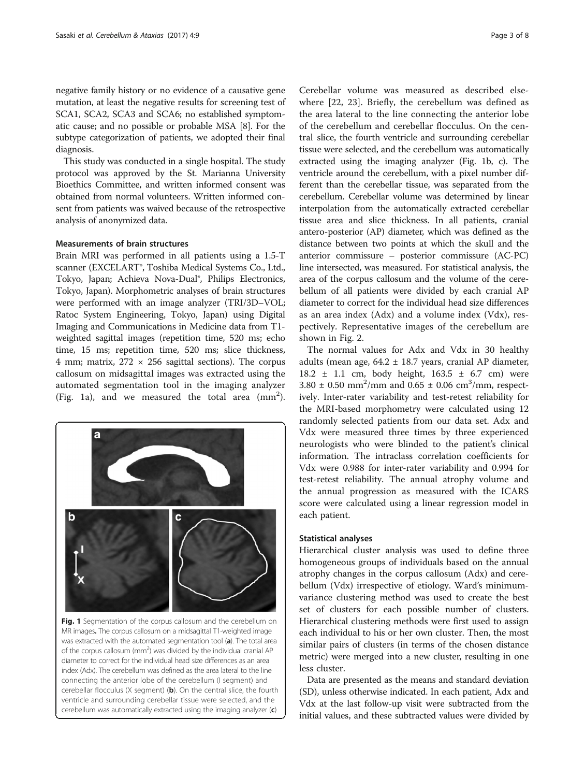negative family history or no evidence of a causative gene mutation, at least the negative results for screening test of SCA1, SCA2, SCA3 and SCA6; no established symptomatic cause; and no possible or probable MSA [\[8](#page-6-0)]. For the subtype categorization of patients, we adopted their final diagnosis.

This study was conducted in a single hospital. The study protocol was approved by the St. Marianna University Bioethics Committee, and written informed consent was obtained from normal volunteers. Written informed consent from patients was waived because of the retrospective analysis of anonymized data.

## Measurements of brain structures

Brain MRI was performed in all patients using a 1.5-T scanner (EXCELART®, Toshiba Medical Systems Co., Ltd., Tokyo, Japan; Achieva Nova-Dual®, Philips Electronics, Tokyo, Japan). Morphometric analyses of brain structures were performed with an image analyzer (TRI/3D–VOL; Ratoc System Engineering, Tokyo, Japan) using Digital Imaging and Communications in Medicine data from T1 weighted sagittal images (repetition time, 520 ms; echo time, 15 ms; repetition time, 520 ms; slice thickness, 4 mm; matrix,  $272 \times 256$  sagittal sections). The corpus callosum on midsagittal images was extracted using the automated segmentation tool in the imaging analyzer (Fig. 1a), and we measured the total area  $(mm<sup>2</sup>)$ .



Fig. 1 Segmentation of the corpus callosum and the cerebellum on MR images. The corpus callosum on a midsagittal T1-weighted image was extracted with the automated segmentation tool (a). The total area of the corpus callosum  $\text{(mm)}^2$ ) was divided by the individual cranial AP diameter to correct for the individual head size differences as an area index (Adx). The cerebellum was defined as the area lateral to the line connecting the anterior lobe of the cerebellum (I segment) and cerebellar flocculus (X segment) ( $\mathbf b$ ). On the central slice, the fourth ventricle and surrounding cerebellar tissue were selected, and the cerebellum was automatically extracted using the imaging analyzer  $(c)$ 

Cerebellar volume was measured as described elsewhere [\[22](#page-7-0), [23](#page-7-0)]. Briefly, the cerebellum was defined as the area lateral to the line connecting the anterior lobe of the cerebellum and cerebellar flocculus. On the central slice, the fourth ventricle and surrounding cerebellar tissue were selected, and the cerebellum was automatically extracted using the imaging analyzer (Fig. 1b, c). The ventricle around the cerebellum, with a pixel number different than the cerebellar tissue, was separated from the cerebellum. Cerebellar volume was determined by linear interpolation from the automatically extracted cerebellar tissue area and slice thickness. In all patients, cranial antero-posterior (AP) diameter, which was defined as the distance between two points at which the skull and the anterior commissure – posterior commissure (AC-PC) line intersected, was measured. For statistical analysis, the area of the corpus callosum and the volume of the cerebellum of all patients were divided by each cranial AP diameter to correct for the individual head size differences as an area index (Adx) and a volume index (Vdx), respectively. Representative images of the cerebellum are shown in Fig. [2.](#page-3-0)

The normal values for Adx and Vdx in 30 healthy adults (mean age,  $64.2 \pm 18.7$  years, cranial AP diameter, 18.2 ± 1.1 cm, body height, 163.5 ± 6.7 cm) were  $3.80 \pm 0.50$  mm<sup>2</sup>/mm and  $0.65 \pm 0.06$  cm<sup>3</sup>/mm, respectively. Inter-rater variability and test-retest reliability for the MRI-based morphometry were calculated using 12 randomly selected patients from our data set. Adx and Vdx were measured three times by three experienced neurologists who were blinded to the patient's clinical information. The intraclass correlation coefficients for Vdx were 0.988 for inter-rater variability and 0.994 for test-retest reliability. The annual atrophy volume and the annual progression as measured with the ICARS score were calculated using a linear regression model in each patient.

## Statistical analyses

Hierarchical cluster analysis was used to define three homogeneous groups of individuals based on the annual atrophy changes in the corpus callosum (Adx) and cerebellum (Vdx) irrespective of etiology. Ward's minimumvariance clustering method was used to create the best set of clusters for each possible number of clusters. Hierarchical clustering methods were first used to assign each individual to his or her own cluster. Then, the most similar pairs of clusters (in terms of the chosen distance metric) were merged into a new cluster, resulting in one less cluster.

Data are presented as the means and standard deviation (SD), unless otherwise indicated. In each patient, Adx and Vdx at the last follow-up visit were subtracted from the initial values, and these subtracted values were divided by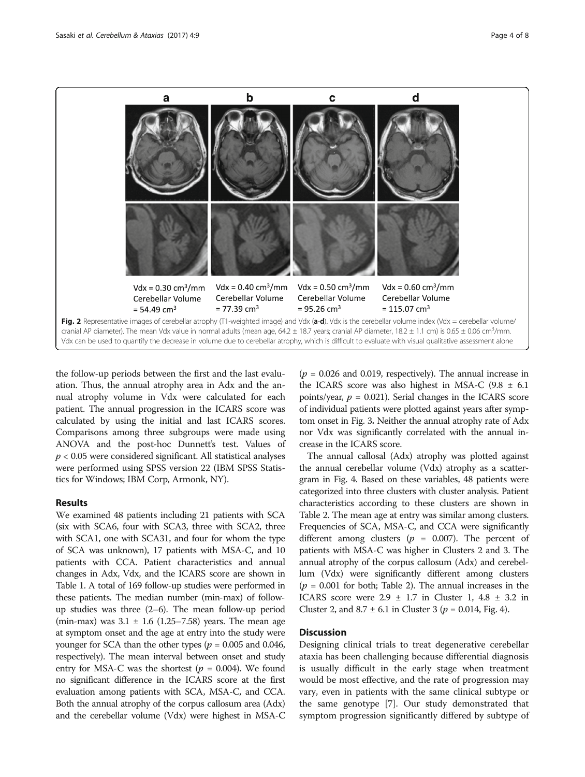<span id="page-3-0"></span>

the follow-up periods between the first and the last evaluation. Thus, the annual atrophy area in Adx and the annual atrophy volume in Vdx were calculated for each patient. The annual progression in the ICARS score was calculated by using the initial and last ICARS scores. Comparisons among three subgroups were made using ANOVA and the post-hoc Dunnett's test. Values of  $p < 0.05$  were considered significant. All statistical analyses were performed using SPSS version 22 (IBM SPSS Statistics for Windows; IBM Corp, Armonk, NY).

## Results

We examined 48 patients including 21 patients with SCA (six with SCA6, four with SCA3, three with SCA2, three with SCA1, one with SCA31, and four for whom the type of SCA was unknown), 17 patients with MSA-C, and 10 patients with CCA. Patient characteristics and annual changes in Adx, Vdx, and the ICARS score are shown in Table [1](#page-4-0). A total of 169 follow-up studies were performed in these patients. The median number (min-max) of followup studies was three (2–6). The mean follow-up period (min-max) was  $3.1 \pm 1.6$  (1.25–7.58) years. The mean age at symptom onset and the age at entry into the study were younger for SCA than the other types ( $p = 0.005$  and 0.046, respectively). The mean interval between onset and study entry for MSA-C was the shortest ( $p = 0.004$ ). We found no significant difference in the ICARS score at the first evaluation among patients with SCA, MSA-C, and CCA. Both the annual atrophy of the corpus callosum area (Adx) and the cerebellar volume (Vdx) were highest in MSA-C

 $(p = 0.026$  and 0.019, respectively). The annual increase in the ICARS score was also highest in MSA-C (9.8  $\pm$  6.1 points/year,  $p = 0.021$ ). Serial changes in the ICARS score of individual patients were plotted against years after symptom onset in Fig. [3](#page-4-0). Neither the annual atrophy rate of Adx nor Vdx was significantly correlated with the annual increase in the ICARS score.

The annual callosal (Adx) atrophy was plotted against the annual cerebellar volume (Vdx) atrophy as a scattergram in Fig. [4](#page-5-0). Based on these variables, 48 patients were categorized into three clusters with cluster analysis. Patient characteristics according to these clusters are shown in Table [2.](#page-5-0) The mean age at entry was similar among clusters. Frequencies of SCA, MSA-C, and CCA were significantly different among clusters ( $p = 0.007$ ). The percent of patients with MSA-C was higher in Clusters 2 and 3. The annual atrophy of the corpus callosum (Adx) and cerebellum (Vdx) were significantly different among clusters  $(p = 0.001$  for both; Table [2\)](#page-5-0). The annual increases in the ICARS score were  $2.9 \pm 1.7$  in Cluster 1,  $4.8 \pm 3.2$  in Cluster 2, and  $8.7 \pm 6.1$  in Cluster 3 ( $p = 0.014$ , Fig. [4\)](#page-5-0).

## **Discussion**

Designing clinical trials to treat degenerative cerebellar ataxia has been challenging because differential diagnosis is usually difficult in the early stage when treatment would be most effective, and the rate of progression may vary, even in patients with the same clinical subtype or the same genotype [\[7](#page-6-0)]. Our study demonstrated that symptom progression significantly differed by subtype of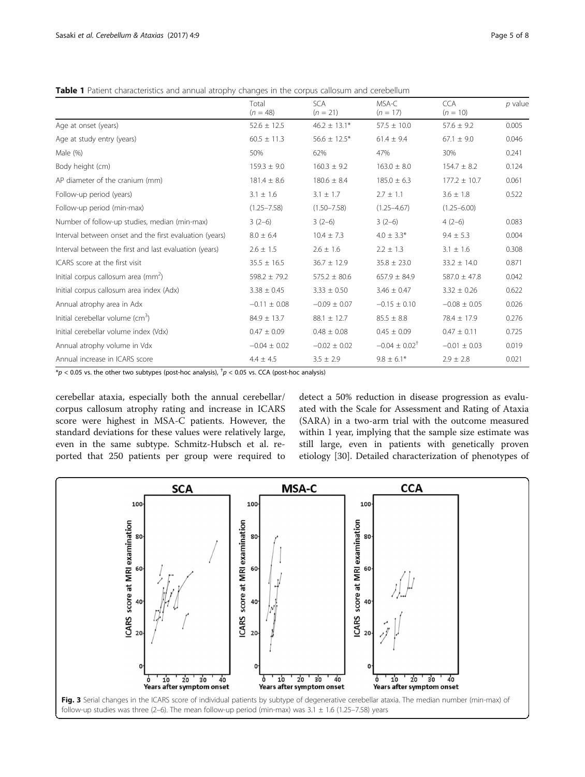<span id="page-4-0"></span>Table 1 Patient characteristics and annual atrophy changes in the corpus callosum and cerebellum

|                                                         | Total<br>$(n = 48)$ | <b>SCA</b><br>$(n = 21)$ | MSA-C<br>$(n = 17)$           | <b>CCA</b><br>$(n = 10)$ | $p$ value |
|---------------------------------------------------------|---------------------|--------------------------|-------------------------------|--------------------------|-----------|
| Age at onset (years)                                    | $52.6 \pm 12.5$     | $46.2 \pm 13.1*$         | $57.5 \pm 10.0$               | $57.6 \pm 9.2$           | 0.005     |
| Age at study entry (years)                              | $60.5 \pm 11.3$     | $56.6 \pm 12.5*$         | $61.4 \pm 9.4$                | $67.1 \pm 9.0$           | 0.046     |
| Male (%)                                                | 50%                 | 62%                      | 47%                           | 30%                      | 0.241     |
| Body height (cm)                                        | $159.3 \pm 9.0$     | $160.3 \pm 9.2$          | $163.0 \pm 8.0$               | $154.7 \pm 8.2$          | 0.124     |
| AP diameter of the cranium (mm)                         | $181.4 \pm 8.6$     | $180.6 \pm 8.4$          | $185.0 \pm 6.3$               | $177.2 \pm 10.7$         | 0.061     |
| Follow-up period (years)                                | $3.1 \pm 1.6$       | $3.1 \pm 1.7$            | $2.7 \pm 1.1$                 | $3.6 \pm 1.8$            | 0.522     |
| Follow-up period (min-max)                              | $(1.25 - 7.58)$     | $(1.50 - 7.58)$          | $(1.25 - 4.67)$               | $(1.25 - 6.00)$          |           |
| Number of follow-up studies, median (min-max)           | $3(2-6)$            | $3(2-6)$                 | $3(2-6)$                      | $4(2-6)$                 | 0.083     |
| Interval between onset and the first evaluation (years) | $8.0 \pm 6.4$       | $10.4 \pm 7.3$           | $4.0 \pm 3.3*$                | $9.4 \pm 5.3$            | 0.004     |
| Interval between the first and last evaluation (years)  | $2.6 \pm 1.5$       | $2.6 \pm 1.6$            | $2.2 \pm 1.3$                 | $3.1 \pm 1.6$            | 0.308     |
| ICARS score at the first visit                          | $35.5 \pm 16.5$     | $36.7 \pm 12.9$          | $35.8 \pm 23.0$               | $33.2 \pm 14.0$          | 0.871     |
| Initial corpus callosum area $\text{(mm)}$              | $598.2 \pm 79.2$    | $575.2 \pm 80.6$         | $657.9 \pm 84.9$              | $587.0 \pm 47.8$         | 0.042     |
| Initial corpus callosum area index (Adx)                | $3.38 \pm 0.45$     | $3.33 \pm 0.50$          | $3.46 \pm 0.47$               | $3.32 \pm 0.26$          | 0.622     |
| Annual atrophy area in Adx                              | $-0.11 \pm 0.08$    | $-0.09 \pm 0.07$         | $-0.15 \pm 0.10$              | $-0.08 \pm 0.05$         | 0.026     |
| Initial cerebellar volume (cm <sup>3</sup> )            | $84.9 \pm 13.7$     | $88.1 \pm 12.7$          | $85.5 \pm 8.8$                | $78.4 \pm 17.9$          | 0.276     |
| Initial cerebellar volume index (Vdx)                   | $0.47 \pm 0.09$     | $0.48 \pm 0.08$          | $0.45 \pm 0.09$               | $0.47 \pm 0.11$          | 0.725     |
| Annual atrophy volume in Vdx                            | $-0.04 \pm 0.02$    | $-0.02 \pm 0.02$         | $-0.04 \pm 0.02$ <sup>†</sup> | $-0.01 \pm 0.03$         | 0.019     |
| Annual increase in ICARS score                          | $4.4 \pm 4.5$       | $3.5 \pm 2.9$            | $9.8 \pm 6.1*$                | $2.9 \pm 2.8$            | 0.021     |

 $^{*}p$  < 0.05 vs. the other two subtypes (post-hoc analysis),  $^{\dagger}p$  < 0.05 vs. CCA (post-hoc analysis)

cerebellar ataxia, especially both the annual cerebellar/ corpus callosum atrophy rating and increase in ICARS score were highest in MSA-C patients. However, the standard deviations for these values were relatively large, even in the same subtype. Schmitz-Hubsch et al. reported that 250 patients per group were required to detect a 50% reduction in disease progression as evaluated with the Scale for Assessment and Rating of Ataxia (SARA) in a two-arm trial with the outcome measured within 1 year, implying that the sample size estimate was still large, even in patients with genetically proven etiology [[30](#page-7-0)]. Detailed characterization of phenotypes of

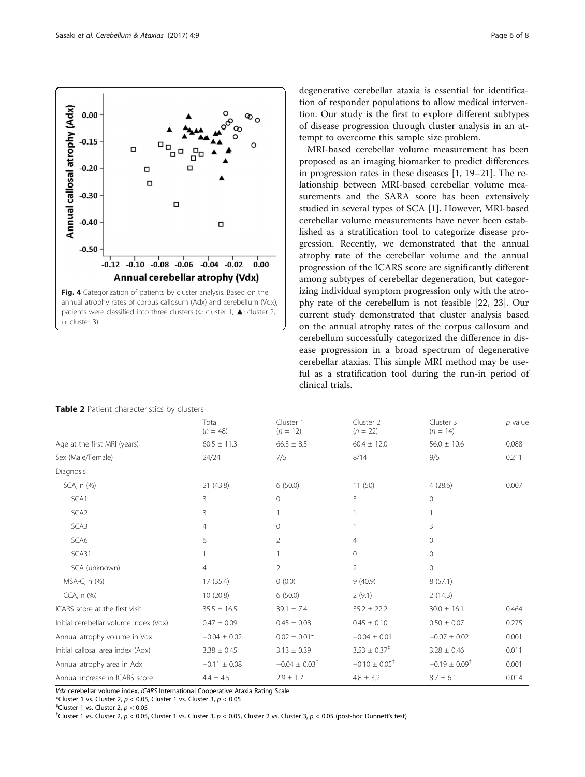Annual callosal atrophy (Adx)  $0.00$  $^{\circ}$  $-0.15$  $\mathbf{a}$  $-0.20$  $\Box$  $\Box$  $-0.30$  $\Box$  $-0.40$  $\Box$  $-0.50$  $-0.12$   $-0.10$   $-0.08$   $-0.06$   $-0.04$   $-0.02$  $0.00$ Annual cerebellar atrophy (Vdx) Fig. 4 Categorization of patients by cluster analysis. Based on the annual atrophy rates of corpus callosum (Adx) and cerebellum (Vdx),

degenerative cerebellar ataxia is essential for identification of responder populations to allow medical intervention. Our study is the first to explore different subtypes of disease progression through cluster analysis in an attempt to overcome this sample size problem.

MRI-based cerebellar volume measurement has been proposed as an imaging biomarker to predict differences in progression rates in these diseases [\[1](#page-6-0), [19](#page-7-0)–[21](#page-7-0)]. The relationship between MRI-based cerebellar volume measurements and the SARA score has been extensively studied in several types of SCA [\[1](#page-6-0)]. However, MRI-based cerebellar volume measurements have never been established as a stratification tool to categorize disease progression. Recently, we demonstrated that the annual atrophy rate of the cerebellar volume and the annual progression of the ICARS score are significantly different among subtypes of cerebellar degeneration, but categorizing individual symptom progression only with the atrophy rate of the cerebellum is not feasible [[22, 23\]](#page-7-0). Our current study demonstrated that cluster analysis based on the annual atrophy rates of the corpus callosum and cerebellum successfully categorized the difference in disease progression in a broad spectrum of degenerative cerebellar ataxias. This simple MRI method may be useful as a stratification tool during the run-in period of clinical trials.

| Table 2 Patient characteristics by clusters |  |
|---------------------------------------------|--|
|---------------------------------------------|--|

□: cluster 3)

Total  $(n = 48)$ Cluster 1  $(n = 12)$ Cluster 2  $(n = 22)$ Cluster 3  $(n = 14)$ p value Age at the first MRI (years) 60.5  $\pm$  11.3 66.3  $\pm$  8.5 60.4  $\pm$  12.0 56.0  $\pm$  10.6 0.088 Sex (Male/Female) 24/24 24/24 7/5 8/14 9/5 0.211 Diagnosis SCA, n (%) 21 (43.8) 6 (50.0) 11 (50) 4 (28.6) 0.007 SCA1 3 0 3 0 3 0 3 0 3 0  $\pm 3$  0 3 0  $\pm 3$  0 3 0  $\pm 3$  0 0  $\pm 3$  0 0  $\pm 3$  0 0  $\pm 3$  0 0  $\pm 3$  0 0  $\pm 3$  0 0  $\pm 3$  0 0  $\pm 3$  0 0  $\pm 3$  0 0  $\pm 3$  0 0  $\pm 3$  0 0  $\pm 3$  0 0  $\pm 3$  0 0  $\pm 3$  0 0  $\pm 3$  0 0  $\pm 3$ SCA2 3 3 1 1 1 1 1 1 SCA3 4 0 1 3 SCA6 6 6 2 4 0 SCA31 **1** 1 0 0 0  $SCA$  (unknown)  $4$  2 2 0 MSA-C, n (%) 17 (35.4) 0 (0.0) 9 (40.9) 8 (57.1) CCA, n (%) 2 (14.3) 10 (20.8) 6 (50.0) 2 (9.1) 2 (14.3) ICARS score at the first visit 35.5  $\pm$  16.5 39.1  $\pm$  7.4 35.2  $\pm$  22.2 30.0  $\pm$  16.1 30.464 Initial cerebellar volume index (Vdx)  $0.47 \pm 0.09$   $0.45 \pm 0.08$   $0.45 \pm 0.10$   $0.50 \pm 0.07$  0.275 Annual atrophy volume in Vdx  $-0.04 \pm 0.02$   $0.02 \pm 0.01$   $-0.04 \pm 0.01$   $-0.07 \pm 0.02$  0.001 0.001 Initial callosal area index (Adx)  $3.38 \pm 0.45$   $3.13 \pm 0.39$   $3.53 \pm 0.37$ <sup>‡</sup>  $3.28 \pm 0.46$  0.011 Annual atrophy area in Adx  $-0.11 \pm 0.08$   $-0.04 \pm 0.03$ <sup>†</sup>  $-0.10 \pm 0.05$ <sup>†</sup>  $-0.19 \pm 0.09$ <sup>†</sup> 0.001 Annual increase in ICARS score  $4.4 \pm 4.5$   $2.9 \pm 1.7$   $4.8 \pm 3.2$   $8.7 \pm 6.1$  0.014

Vdx cerebellar volume index, ICARS International Cooperative Ataxia Rating Scale

\*Cluster 1 vs. Cluster 2,  $p < 0.05$ , Cluster 1 vs. Cluster 3,  $p < 0.05$ 

<sup>‡</sup>Cluster 1 vs. Cluster 2,  $p < 0.05$ 

<sup>+</sup>Cluster 1 vs. Cluster 2, p < 0.05, Cluster 1 vs. Cluster 3, p < 0.05, Cluster 2 vs. Cluster 3, p < 0.05 (post-hoc Dunnett's test)

<span id="page-5-0"></span>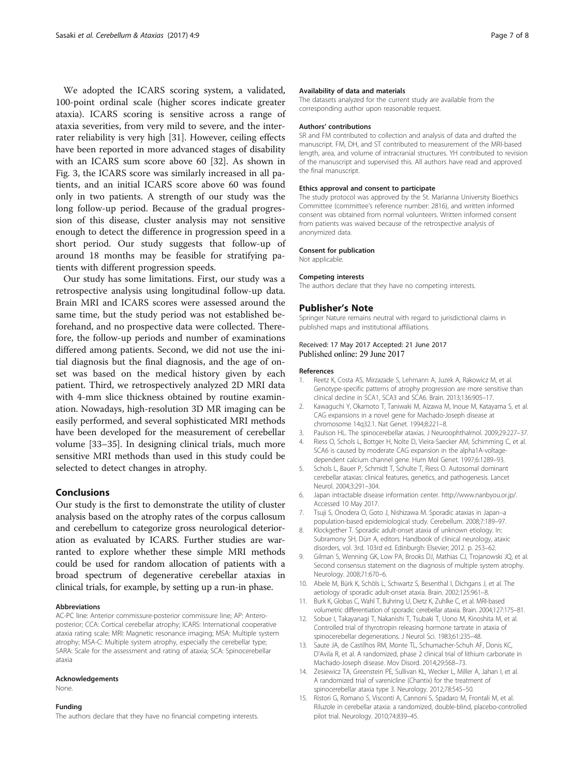<span id="page-6-0"></span>We adopted the ICARS scoring system, a validated, 100-point ordinal scale (higher scores indicate greater ataxia). ICARS scoring is sensitive across a range of ataxia severities, from very mild to severe, and the interrater reliability is very high [[31\]](#page-7-0). However, ceiling effects have been reported in more advanced stages of disability with an ICARS sum score above 60 [\[32](#page-7-0)]. As shown in Fig. [3](#page-4-0), the ICARS score was similarly increased in all patients, and an initial ICARS score above 60 was found only in two patients. A strength of our study was the long follow-up period. Because of the gradual progression of this disease, cluster analysis may not sensitive enough to detect the difference in progression speed in a short period. Our study suggests that follow-up of around 18 months may be feasible for stratifying patients with different progression speeds.

Our study has some limitations. First, our study was a retrospective analysis using longitudinal follow-up data. Brain MRI and ICARS scores were assessed around the same time, but the study period was not established beforehand, and no prospective data were collected. Therefore, the follow-up periods and number of examinations differed among patients. Second, we did not use the initial diagnosis but the final diagnosis, and the age of onset was based on the medical history given by each patient. Third, we retrospectively analyzed 2D MRI data with 4-mm slice thickness obtained by routine examination. Nowadays, high-resolution 3D MR imaging can be easily performed, and several sophisticated MRI methods have been developed for the measurement of cerebellar volume [[33](#page-7-0)–[35](#page-7-0)]. In designing clinical trials, much more sensitive MRI methods than used in this study could be selected to detect changes in atrophy.

## Conclusions

Our study is the first to demonstrate the utility of cluster analysis based on the atrophy rates of the corpus callosum and cerebellum to categorize gross neurological deterioration as evaluated by ICARS. Further studies are warranted to explore whether these simple MRI methods could be used for random allocation of patients with a broad spectrum of degenerative cerebellar ataxias in clinical trials, for example, by setting up a run-in phase.

#### Abbreviations

AC-PC line: Anterior commissure-posterior commissure line; AP: Anteroposterior; CCA: Cortical cerebellar atrophy; ICARS: International cooperative ataxia rating scale; MRI: Magnetic resonance imaging; MSA: Multiple system atrophy; MSA-C: Multiple system atrophy, especially the cerebellar type; SARA: Scale for the assessment and rating of ataxia; SCA: Spinocerebellar ataxia

#### Acknowledgements

None.

## Funding

The authors declare that they have no financial competing interests.

#### Availability of data and materials

The datasets analyzed for the current study are available from the corresponding author upon reasonable request.

#### Authors' contributions

SR and FM contributed to collection and analysis of data and drafted the manuscript. FM, DH, and ST contributed to measurement of the MRI-based length, area, and volume of intracranial structures. YH contributed to revision of the manuscript and supervised this. All authors have read and approved the final manuscript.

#### Ethics approval and consent to participate

The study protocol was approved by the St. Marianna University Bioethics Committee (committee's reference number: 2816), and written informed consent was obtained from normal volunteers. Written informed consent from patients was waived because of the retrospective analysis of anonymized data.

#### Consent for publication

Not applicable.

#### Competing interests

The authors declare that they have no competing interests.

#### Publisher's Note

Springer Nature remains neutral with regard to jurisdictional claims in published maps and institutional affiliations.

### Received: 17 May 2017 Accepted: 21 June 2017 Published online: 29 June 2017

#### References

- 1. Reetz K, Costa AS, Mirzazade S, Lehmann A, Juzek A, Rakowicz M, et al. Genotype-specific patterns of atrophy progression are more sensitive than clinical decline in SCA1, SCA3 and SCA6. Brain. 2013;136:905–17.
- 2. Kawaguchi Y, Okamoto T, Taniwaki M, Aizawa M, Inoue M, Katayama S, et al. CAG expansions in a novel gene for Machado-Joseph disease at chromosome 14q32.1. Nat Genet. 1994;8:221–8.
- 3. Paulson HL. The spinocerebellar ataxias. J Neuroophthalmol. 2009;29:227–37.
- 4. Riess O, Schols L, Bottger H, Nolte D, Vieira-Saecker AM, Schimming C, et al. SCA6 is caused by moderate CAG expansion in the alpha1A-voltagedependent calcium channel gene. Hum Mol Genet. 1997;6:1289–93.
- 5. Schols L, Bauer P, Schmidt T, Schulte T, Riess O. Autosomal dominant cerebellar ataxias: clinical features, genetics, and pathogenesis. Lancet Neurol. 2004;3:291–304.
- 6. Japan intractable disease information center. [http://www.nanbyou.or.jp/](http://www.nanbyou.or.jp). Accessed 10 May 2017.
- 7. Tsuji S, Onodera O, Goto J, Nishizawa M. Sporadic ataxias in Japan–a population-based epidemiological study. Cerebellum. 2008;7:189–97.
- 8. Klockgether T. Sporadic adult-onset ataxia of unknown etiology. In: Subramony SH, Dürr A, editors. Handbook of clinical neurology, ataxic disorders, vol. 3rd. 103rd ed. Edinburgh: Elsevier; 2012. p. 253–62.
- 9. Gilman S, Wenning GK, Low PA, Brooks DJ, Mathias CJ, Trojanowski JQ, et al. Second consensus statement on the diagnosis of multiple system atrophy. Neurology. 2008;71:670–6.
- 10. Abele M, Bürk K, Schöls L, Schwartz S, Besenthal I, Dichgans J, et al. The aetiology of sporadic adult-onset ataxia. Brain. 2002;125:961–8.
- 11. Burk K, Globas C, Wahl T, Buhring U, Dietz K, Zuhlke C, et al. MRI-based volumetric differentiation of sporadic cerebellar ataxia. Brain. 2004;127:175–81.
- 12. Sobue I, Takayanagi T, Nakanishi T, Tsubaki T, Uono M, Kinoshita M, et al. Controlled trial of thyrotropin releasing hormone tartrate in ataxia of spinocerebellar degenerations. J Neurol Sci. 1983;61:235–48.
- 13. Saute JA, de Castilhos RM, Monte TL, Schumacher-Schuh AF, Donis KC, D'Avila R, et al. A randomized, phase 2 clinical trial of lithium carbonate in Machado-Joseph disease. Mov Disord. 2014;29:568–73.
- 14. Zesiewicz TA, Greenstein PE, Sullivan KL, Wecker L, Miller A, Jahan I, et al. A randomized trial of varenicline (Chantix) for the treatment of spinocerebellar ataxia type 3. Neurology. 2012;78:545–50.
- 15. Ristori G, Romano S, Visconti A, Cannoni S, Spadaro M, Frontali M, et al. Riluzole in cerebellar ataxia: a randomized, double-blind, placebo-controlled pilot trial. Neurology. 2010;74:839–45.